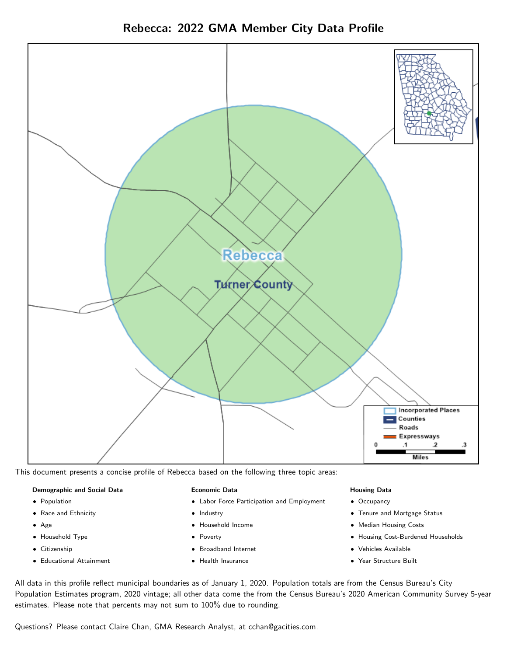Rebecca: 2022 GMA Member City Data Profile



This document presents a concise profile of Rebecca based on the following three topic areas:

### Demographic and Social Data

- **•** Population
- Race and Ethnicity
- Age
- Household Type
- **Citizenship**
- Educational Attainment

### Economic Data

- Labor Force Participation and Employment
- Industry
- Household Income
- Poverty
- Broadband Internet
- Health Insurance

### Housing Data

- Occupancy
- Tenure and Mortgage Status
- Median Housing Costs
- Housing Cost-Burdened Households
- Vehicles Available
- Year Structure Built

All data in this profile reflect municipal boundaries as of January 1, 2020. Population totals are from the Census Bureau's City Population Estimates program, 2020 vintage; all other data come the from the Census Bureau's 2020 American Community Survey 5-year estimates. Please note that percents may not sum to 100% due to rounding.

Questions? Please contact Claire Chan, GMA Research Analyst, at [cchan@gacities.com.](mailto:cchan@gacities.com)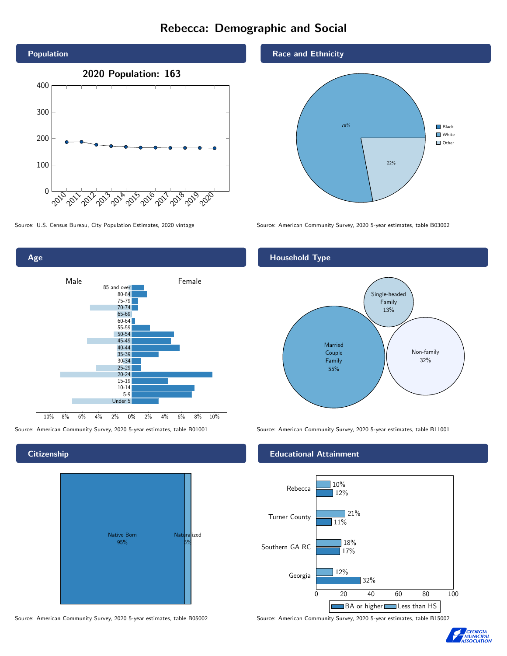# Rebecca: Demographic and Social





**Citizenship** 



Source: American Community Survey, 2020 5-year estimates, table B05002 Source: American Community Survey, 2020 5-year estimates, table B15002

Race and Ethnicity



Source: U.S. Census Bureau, City Population Estimates, 2020 vintage Source: American Community Survey, 2020 5-year estimates, table B03002

## Household Type



Source: American Community Survey, 2020 5-year estimates, table B01001 Source: American Community Survey, 2020 5-year estimates, table B11001

### Educational Attainment



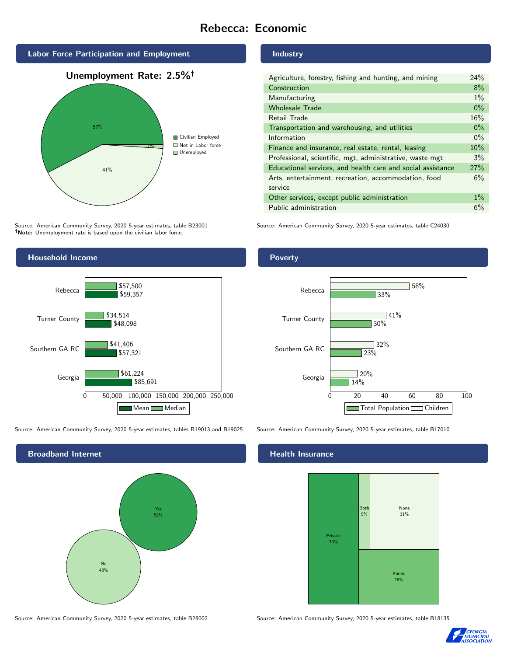# Rebecca: Economic



Source: American Community Survey, 2020 5-year estimates, table B23001 Note: Unemployment rate is based upon the civilian labor force.



Source: American Community Survey, 2020 5-year estimates, tables B19013 and B19025 Source: American Community Survey, 2020 5-year estimates, table B17010



Industry

| Agriculture, forestry, fishing and hunting, and mining      | 24%   |
|-------------------------------------------------------------|-------|
| Construction                                                | 8%    |
| Manufacturing                                               | $1\%$ |
| <b>Wholesale Trade</b>                                      | $0\%$ |
| Retail Trade                                                | 16%   |
| Transportation and warehousing, and utilities               | $0\%$ |
| Information                                                 | $0\%$ |
| Finance and insurance, real estate, rental, leasing         | 10%   |
| Professional, scientific, mgt, administrative, waste mgt    | 3%    |
| Educational services, and health care and social assistance | 27%   |
| Arts, entertainment, recreation, accommodation, food        | 6%    |
| service                                                     |       |
| Other services, except public administration                | $1\%$ |
| Public administration                                       | 6%    |

Source: American Community Survey, 2020 5-year estimates, table C24030

Poverty



## **Health Insurance**



Source: American Community Survey, 2020 5-year estimates, table B28002 Source: American Community Survey, 2020 5-year estimates, table B18135